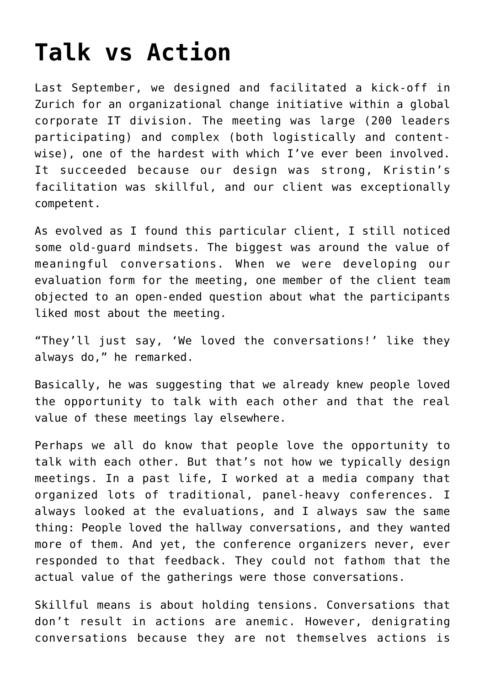## **[Talk vs Action](https://groupaya.net/talk-vs-action/)**

Last September, we designed and facilitated a kick-off in Zurich for an organizational change initiative within a global corporate IT division. The meeting was large (200 leaders participating) and complex (both logistically and contentwise), one of the hardest with which I've ever been involved. It succeeded because our design was strong, Kristin's facilitation was skillful, and our client was exceptionally competent.

As evolved as I found this particular client, I still noticed some old-guard mindsets. The biggest was around the value of meaningful conversations. When we were developing our evaluation form for the meeting, one member of the client team objected to an open-ended question about what the participants liked most about the meeting.

"They'll just say, 'We loved the conversations!' like they always do," he remarked.

Basically, he was suggesting that we already knew people loved the opportunity to talk with each other and that the real value of these meetings lay elsewhere.

Perhaps we all do know that people love the opportunity to talk with each other. But that's not how we typically design meetings. In a past life, I worked at a media company that organized lots of traditional, panel-heavy conferences. I always looked at the evaluations, and I always saw the same thing: People loved the hallway conversations, and they wanted more of them. And yet, the conference organizers never, ever responded to that feedback. They could not fathom that the actual value of the gatherings were those conversations.

Skillful means is about holding tensions. Conversations that don't result in actions are anemic. However, denigrating conversations because they are not themselves actions is